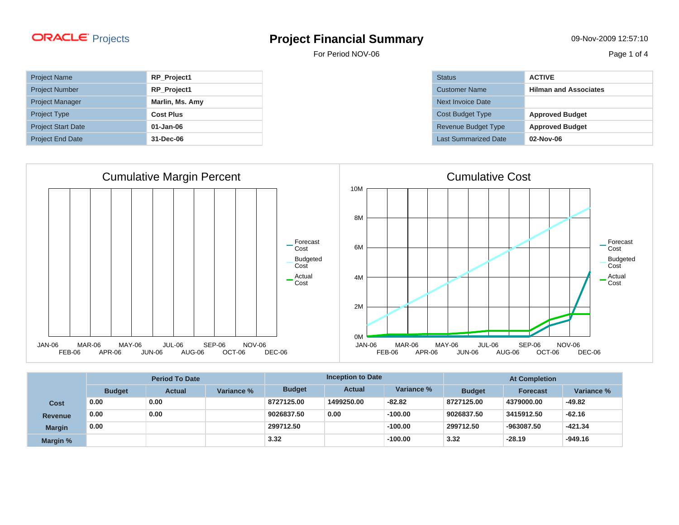For Period NOV-06 Page 1 of 4

| <b>Project Name</b>       | RP_Project1      |
|---------------------------|------------------|
| <b>Project Number</b>     | RP_Project1      |
| <b>Project Manager</b>    | Marlin, Ms. Amy  |
| <b>Project Type</b>       | <b>Cost Plus</b> |
| <b>Project Start Date</b> | 01-Jan-06        |
| <b>Project End Date</b>   | 31-Dec-06        |



| <b>Status</b>           | <b>ACTIVE</b>                |
|-------------------------|------------------------------|
| <b>Customer Name</b>    | <b>Hilman and Associates</b> |
| Next Invoice Date       |                              |
| <b>Cost Budget Type</b> | <b>Approved Budget</b>       |
| Revenue Budget Type     | <b>Approved Budget</b>       |
| Last Summarized Date    | $02-Nov-06$                  |



|                | <b>Period To Date</b> |               | <b>Inception to Date</b> |               |               | <b>At Completion</b> |               |                 |            |
|----------------|-----------------------|---------------|--------------------------|---------------|---------------|----------------------|---------------|-----------------|------------|
|                | <b>Budget</b>         | <b>Actual</b> | Variance %               | <b>Budget</b> | <b>Actual</b> | Variance %           | <b>Budget</b> | <b>Forecast</b> | Variance % |
| <b>Cost</b>    | 0.00                  | 0.00          |                          | 8727125.00    | 1499250.00    | $-82.82$             | 8727125.00    | 4379000.00      | $-49.82$   |
| <b>Revenue</b> | 0.00                  | 0.00          |                          | 9026837.50    | 0.00          | $-100.00$            | 9026837.50    | 3415912.50      | $-62.16$   |
| <b>Margin</b>  | 0.00                  |               |                          | 299712.50     |               | $-100.00$            | 299712.50     | -963087.50      | $-421.34$  |
| Margin %       |                       |               |                          | 3.32          |               | $-100.00$            | 3.32          | $-28.19$        | $-949.16$  |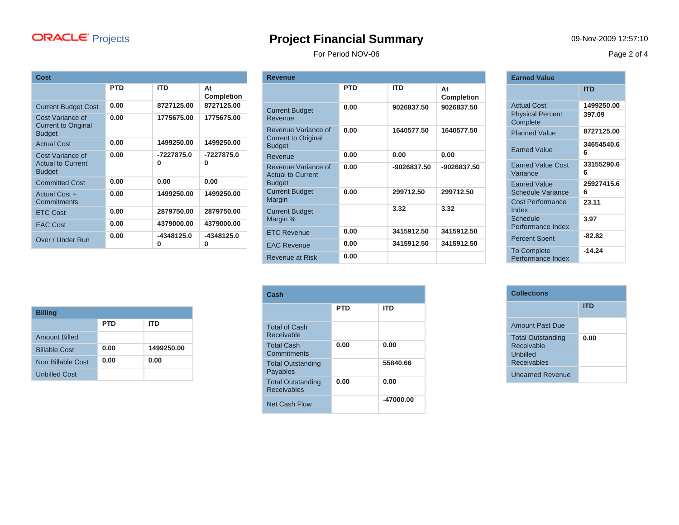For Period NOV-06 Page 2 of 4

| Cost                                                            |            |                 |                         |
|-----------------------------------------------------------------|------------|-----------------|-------------------------|
|                                                                 | <b>PTD</b> | <b>ITD</b>      | At<br><b>Completion</b> |
| <b>Current Budget Cost</b>                                      | 0.00       | 8727125.00      | 8727125.00              |
| Cost Variance of<br><b>Current to Original</b><br><b>Budget</b> | 0.00       | 1775675.00      | 1775675.00              |
| <b>Actual Cost</b>                                              | 0.00       | 1499250.00      | 1499250.00              |
| Cost Variance of<br><b>Actual to Current</b><br><b>Budget</b>   | 0.00       | -7227875.0<br>0 | -7227875.0<br>0         |
| <b>Committed Cost</b>                                           | 0.00       | 0.00            | 0.00                    |
| Actual Cost +<br>Commitments                                    | 0.00       | 1499250.00      | 1499250.00              |
| <b>ETC Cost</b>                                                 | 0.00       | 2879750.00      | 2879750.00              |
| <b>EAC Cost</b>                                                 | 0.00       | 4379000.00      | 4379000.00              |
| Over / Under Run                                                | 0.00       | -4348125.0<br>0 | -4348125.0<br>o         |

| <b>Revenue</b>                                                     |            |             |                         |
|--------------------------------------------------------------------|------------|-------------|-------------------------|
|                                                                    | <b>PTD</b> | <b>ITD</b>  | At<br><b>Completion</b> |
| <b>Current Budget</b><br>Revenue                                   | 0.00       | 9026837.50  | 9026837.50              |
| Revenue Variance of<br><b>Current to Original</b><br><b>Budget</b> | 0.00       | 1640577.50  | 1640577.50              |
| Revenue                                                            | 0.00       | 0.00        | 0.00                    |
| Revenue Variance of<br><b>Actual to Current</b><br><b>Budget</b>   | 0.00       | -9026837.50 | -9026837.50             |
| <b>Current Budget</b><br>Margin                                    | 0.00       | 299712.50   | 299712.50               |
| <b>Current Budget</b><br>Margin %                                  |            | 3.32        | 3.32                    |
| <b>ETC Revenue</b>                                                 | 0.00       | 3415912.50  | 3415912.50              |
| <b>EAC Revenue</b>                                                 | 0.00       | 3415912.50  | 3415912.50              |
| <b>Revenue at Risk</b>                                             | 0.00       |             |                         |

|                                                 | ITD             |
|-------------------------------------------------|-----------------|
| <b>Actual Cost</b>                              | 1499250.00      |
| <b>Physical Percent</b><br>Complete             | 397.09          |
| <b>Planned Value</b>                            | 8727125.00      |
| <b>Earned Value</b>                             | 34654540.6<br>հ |
| <b>Earned Value Cost</b><br>Variance            | 33155290.6<br>6 |
| <b>Earned Value</b><br><b>Schedule Variance</b> | 25927415.6<br>6 |
| Cost Performance<br>Index                       | 23.11           |
| Schedule<br>Performance Index                   | 3.97            |
| <b>Percent Spent</b>                            | -82.82          |
| <b>To Complete</b><br>Performance Index         | -14.24          |

**Earned Value**

| <b>Billing</b>       |      |            |  |  |  |  |
|----------------------|------|------------|--|--|--|--|
|                      | PTD  | ITD        |  |  |  |  |
| <b>Amount Billed</b> |      |            |  |  |  |  |
| <b>Billable Cost</b> | 0.00 | 1499250.00 |  |  |  |  |
| Non Billable Cost    | 0.00 | 0.00       |  |  |  |  |
| <b>Unbilled Cost</b> |      |            |  |  |  |  |

| Cash                                           |            |            |  |  |  |
|------------------------------------------------|------------|------------|--|--|--|
|                                                | <b>PTD</b> | <b>ITD</b> |  |  |  |
| <b>Total of Cash</b><br>Receivable             |            |            |  |  |  |
| <b>Total Cash</b><br>Commitments               | 0.00       | 0.00       |  |  |  |
| <b>Total Outstanding</b><br>Payables           |            | 55840.66   |  |  |  |
| <b>Total Outstanding</b><br><b>Receivables</b> | 0.00       | 0.00       |  |  |  |
| Net Cash Flow                                  |            | -47000.00  |  |  |  |

| <b>Collections</b>                     |      |  |  |  |
|----------------------------------------|------|--|--|--|
|                                        | ITD  |  |  |  |
| <b>Amount Past Due</b>                 |      |  |  |  |
| <b>Total Outstanding</b><br>Receivable | 0.00 |  |  |  |
| Unbilled<br><b>Receivables</b>         |      |  |  |  |
| <b>Unearned Revenue</b>                |      |  |  |  |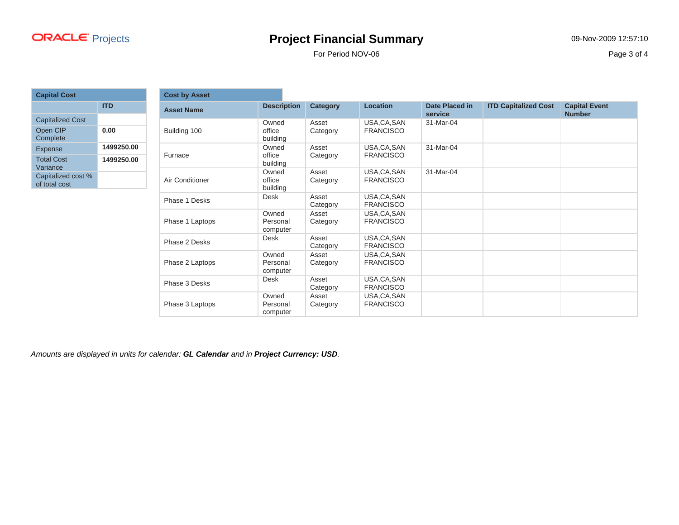For Period NOV-06 Page 3 of 4

| <b>Capital Cost</b>                 |            |  |  |  |  |
|-------------------------------------|------------|--|--|--|--|
|                                     | ITD        |  |  |  |  |
| <b>Capitalized Cost</b>             |            |  |  |  |  |
| Open CIP<br>Complete                | 0.00       |  |  |  |  |
| <b>Expense</b>                      | 1499250.00 |  |  |  |  |
| <b>Total Cost</b><br>Variance       | 1499250.00 |  |  |  |  |
| Capitalized cost %<br>of total cost |            |  |  |  |  |

| <b>Cost by Asset</b> |                               |                   |                                  |                           |                             |                                       |
|----------------------|-------------------------------|-------------------|----------------------------------|---------------------------|-----------------------------|---------------------------------------|
| <b>Asset Name</b>    | <b>Description</b>            | Category          | <b>Location</b>                  | Date Placed in<br>service | <b>ITD Capitalized Cost</b> | <b>Capital Event</b><br><b>Number</b> |
| Building 100         | Owned<br>office<br>building   | Asset<br>Category | USA, CA, SAN<br><b>FRANCISCO</b> | 31-Mar-04                 |                             |                                       |
| Furnace              | Owned<br>office<br>building   | Asset<br>Category | USA, CA, SAN<br><b>FRANCISCO</b> | 31-Mar-04                 |                             |                                       |
| Air Conditioner      | Owned<br>office<br>building   | Asset<br>Category | USA, CA, SAN<br><b>FRANCISCO</b> | 31-Mar-04                 |                             |                                       |
| Phase 1 Desks        | Desk                          | Asset<br>Category | USA, CA, SAN<br><b>FRANCISCO</b> |                           |                             |                                       |
| Phase 1 Laptops      | Owned<br>Personal<br>computer | Asset<br>Category | USA, CA, SAN<br><b>FRANCISCO</b> |                           |                             |                                       |
| Phase 2 Desks        | <b>Desk</b>                   | Asset<br>Category | USA, CA, SAN<br><b>FRANCISCO</b> |                           |                             |                                       |
| Phase 2 Laptops      | Owned<br>Personal<br>computer | Asset<br>Category | USA, CA, SAN<br><b>FRANCISCO</b> |                           |                             |                                       |
| Phase 3 Desks        | Desk                          | Asset<br>Category | USA, CA, SAN<br><b>FRANCISCO</b> |                           |                             |                                       |
| Phase 3 Laptops      | Owned<br>Personal<br>computer | Asset<br>Category | USA, CA, SAN<br><b>FRANCISCO</b> |                           |                             |                                       |

Amounts are displayed in units for calendar: **GL Calendar** and in **Project Currency: USD**.